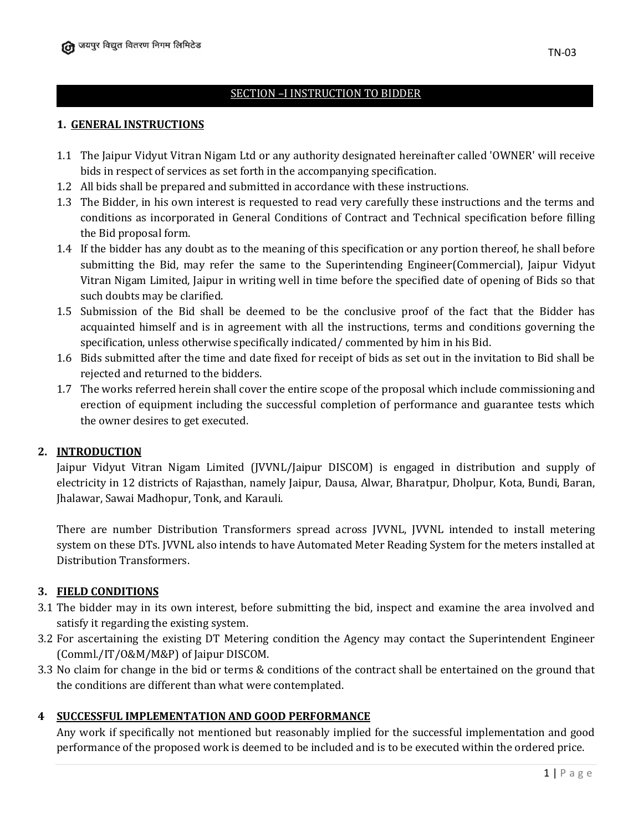# SECTION –I INSTRUCTION TO BIDDER

#### **1. GENERAL INSTRUCTIONS**

- 1.1 The Jaipur Vidyut Vitran Nigam Ltd or any authority designated hereinafter called 'OWNER' will receive bids in respect of services as set forth in the accompanying specification.
- 1.2 All bids shall be prepared and submitted in accordance with these instructions.
- 1.3 The Bidder, in his own interest is requested to read very carefully these instructions and the terms and conditions as incorporated in General Conditions of Contract and Technical specification before filling the Bid proposal form.
- 1.4 If the bidder has any doubt as to the meaning of this specification or any portion thereof, he shall before submitting the Bid, may refer the same to the Superintending Engineer(Commercial), Jaipur Vidyut Vitran Nigam Limited, Jaipur in writing well in time before the specified date of opening of Bids so that such doubts may be clarified.
- 1.5 Submission of the Bid shall be deemed to be the conclusive proof of the fact that the Bidder has acquainted himself and is in agreement with all the instructions, terms and conditions governing the specification, unless otherwise specifically indicated/ commented by him in his Bid.
- 1.6 Bids submitted after the time and date fixed for receipt of bids as set out in the invitation to Bid shall be rejected and returned to the bidders.
- 1.7 The works referred herein shall cover the entire scope of the proposal which include commissioning and erection of equipment including the successful completion of performance and guarantee tests which the owner desires to get executed.

### **2. INTRODUCTION**

Jaipur Vidyut Vitran Nigam Limited (JVVNL/Jaipur DISCOM) is engaged in distribution and supply of electricity in 12 districts of Rajasthan, namely Jaipur, Dausa, Alwar, Bharatpur, Dholpur, Kota, Bundi, Baran, Jhalawar, Sawai Madhopur, Tonk, and Karauli.

There are number Distribution Transformers spread across JVVNL, JVVNL intended to install metering system on these DTs. JVVNL also intends to have Automated Meter Reading System for the meters installed at Distribution Transformers.

### **3. FIELD CONDITIONS**

- 3.1 The bidder may in its own interest, before submitting the bid, inspect and examine the area involved and satisfy it regarding the existing system.
- 3.2 For ascertaining the existing DT Metering condition the Agency may contact the Superintendent Engineer (Comml./IT/O&M/M&P) of Jaipur DISCOM.
- 3.3 No claim for change in the bid or terms & conditions of the contract shall be entertained on the ground that the conditions are different than what were contemplated.

### **4 SUCCESSFUL IMPLEMENTATION AND GOOD PERFORMANCE**

Any work if specifically not mentioned but reasonably implied for the successful implementation and good performance of the proposed work is deemed to be included and is to be executed within the ordered price.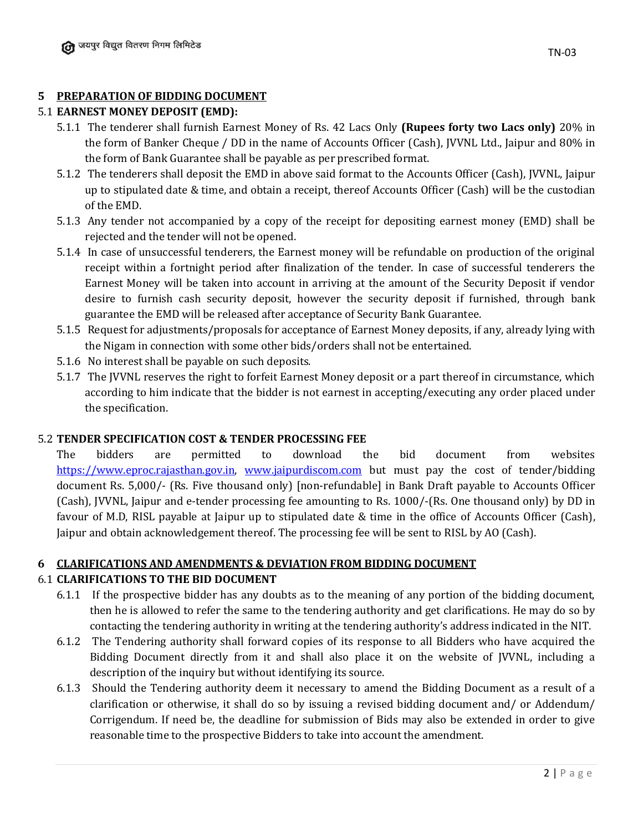### **5 PREPARATION OF BIDDING DOCUMENT**

### 5.1 **EARNEST MONEY DEPOSIT (EMD):**

- 5.1.1 The tenderer shall furnish Earnest Money of Rs. 42 Lacs Only **(Rupees forty two Lacs only)** 20% in the form of Banker Cheque / DD in the name of Accounts Officer (Cash), JVVNL Ltd., Jaipur and 80% in the form of Bank Guarantee shall be payable as per prescribed format.
- 5.1.2 The tenderers shall deposit the EMD in above said format to the Accounts Officer (Cash), JVVNL, Jaipur up to stipulated date & time, and obtain a receipt, thereof Accounts Officer (Cash) will be the custodian of the EMD.
- 5.1.3 Any tender not accompanied by a copy of the receipt for depositing earnest money (EMD) shall be rejected and the tender will not be opened.
- 5.1.4 In case of unsuccessful tenderers, the Earnest money will be refundable on production of the original receipt within a fortnight period after finalization of the tender. In case of successful tenderers the Earnest Money will be taken into account in arriving at the amount of the Security Deposit if vendor desire to furnish cash security deposit, however the security deposit if furnished, through bank guarantee the EMD will be released after acceptance of Security Bank Guarantee.
- 5.1.5 Request for adjustments/proposals for acceptance of Earnest Money deposits, if any, already lying with the Nigam in connection with some other bids/orders shall not be entertained.
- 5.1.6 No interest shall be payable on such deposits.
- 5.1.7 The JVVNL reserves the right to forfeit Earnest Money deposit or a part thereof in circumstance, which according to him indicate that the bidder is not earnest in accepting/executing any order placed under the specification.

### 5.2 **TENDER SPECIFICATION COST & TENDER PROCESSING FEE**

The bidders are permitted to download the bid document from websites [https://www.eproc.rajasthan.gov.in,](https://www.eproc.rajasthan.gov.in/) [www.jaipurdiscom.com](http://www.jaipurdiscom.com/) but must pay the cost of tender/bidding document Rs. 5,000/- (Rs. Five thousand only) [non-refundable] in Bank Draft payable to Accounts Officer (Cash), JVVNL, Jaipur and e-tender processing fee amounting to Rs. 1000/-(Rs. One thousand only) by DD in favour of M.D, RISL payable at Jaipur up to stipulated date & time in the office of Accounts Officer (Cash), Jaipur and obtain acknowledgement thereof. The processing fee will be sent to RISL by AO (Cash).

### **6 CLARIFICATIONS AND AMENDMENTS & DEVIATION FROM BIDDING DOCUMENT**

### 6.1 **CLARIFICATIONS TO THE BID DOCUMENT**

- 6.1.1 If the prospective bidder has any doubts as to the meaning of any portion of the bidding document, then he is allowed to refer the same to the tendering authority and get clarifications. He may do so by contacting the tendering authority in writing at the tendering authority's address indicated in the NIT.
- 6.1.2 The Tendering authority shall forward copies of its response to all Bidders who have acquired the Bidding Document directly from it and shall also place it on the website of JVVNL, including a description of the inquiry but without identifying its source.
- 6.1.3 Should the Tendering authority deem it necessary to amend the Bidding Document as a result of a clarification or otherwise, it shall do so by issuing a revised bidding document and/ or Addendum/ Corrigendum. If need be, the deadline for submission of Bids may also be extended in order to give reasonable time to the prospective Bidders to take into account the amendment.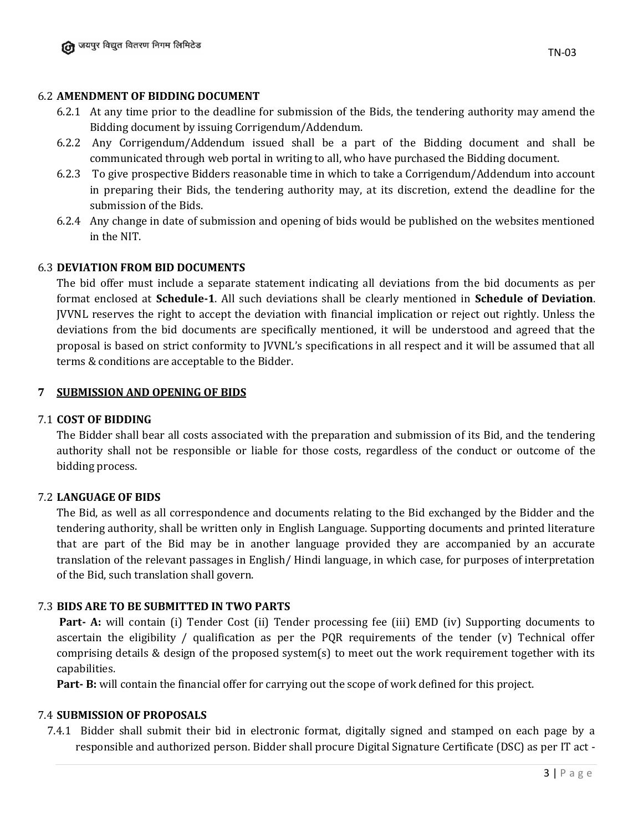#### 6.2 **AMENDMENT OF BIDDING DOCUMENT**

- 6.2.1 At any time prior to the deadline for submission of the Bids, the tendering authority may amend the Bidding document by issuing Corrigendum/Addendum.
- 6.2.2 Any Corrigendum/Addendum issued shall be a part of the Bidding document and shall be communicated through web portal in writing to all, who have purchased the Bidding document.
- 6.2.3 To give prospective Bidders reasonable time in which to take a Corrigendum/Addendum into account in preparing their Bids, the tendering authority may, at its discretion, extend the deadline for the submission of the Bids.
- 6.2.4 Any change in date of submission and opening of bids would be published on the websites mentioned in the NIT.

#### 6.3 **DEVIATION FROM BID DOCUMENTS**

The bid offer must include a separate statement indicating all deviations from the bid documents as per format enclosed at **Schedule-1**. All such deviations shall be clearly mentioned in **Schedule of Deviation**. JVVNL reserves the right to accept the deviation with financial implication or reject out rightly. Unless the deviations from the bid documents are specifically mentioned, it will be understood and agreed that the proposal is based on strict conformity to JVVNL's specifications in all respect and it will be assumed that all terms & conditions are acceptable to the Bidder.

#### **7 SUBMISSION AND OPENING OF BIDS**

#### 7.1 **COST OF BIDDING**

The Bidder shall bear all costs associated with the preparation and submission of its Bid, and the tendering authority shall not be responsible or liable for those costs, regardless of the conduct or outcome of the bidding process.

### 7.2 **LANGUAGE OF BIDS**

The Bid, as well as all correspondence and documents relating to the Bid exchanged by the Bidder and the tendering authority, shall be written only in English Language. Supporting documents and printed literature that are part of the Bid may be in another language provided they are accompanied by an accurate translation of the relevant passages in English/ Hindi language, in which case, for purposes of interpretation of the Bid, such translation shall govern.

### 7.3 **BIDS ARE TO BE SUBMITTED IN TWO PARTS**

**Part- A:** will contain (i) Tender Cost (ii) Tender processing fee (iii) EMD (iv) Supporting documents to ascertain the eligibility / qualification as per the PQR requirements of the tender (v) Technical offer comprising details & design of the proposed system(s) to meet out the work requirement together with its capabilities.

**Part- B:** will contain the financial offer for carrying out the scope of work defined for this project.

#### 7.4 **SUBMISSION OF PROPOSALS**

7.4.1 Bidder shall submit their bid in electronic format, digitally signed and stamped on each page by a responsible and authorized person. Bidder shall procure Digital Signature Certificate (DSC) as per IT act -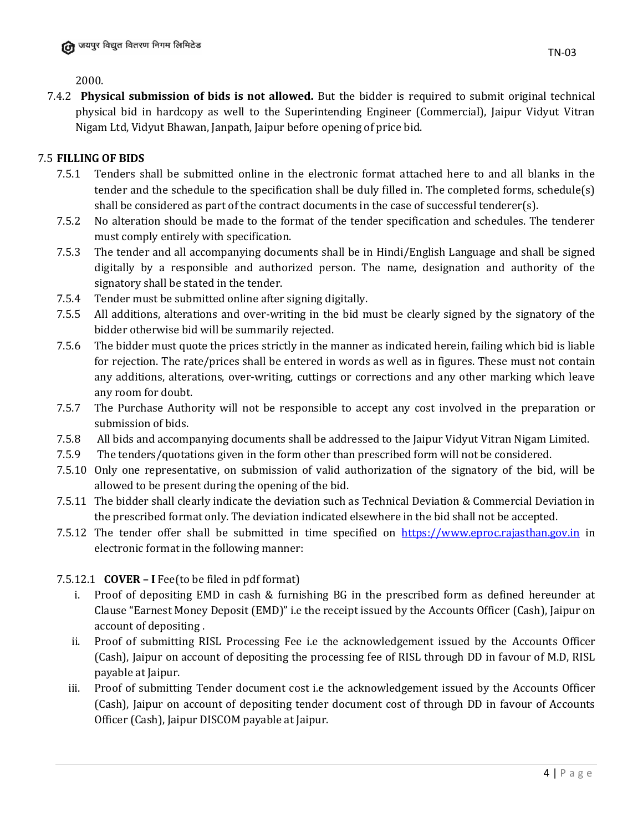2000.

7.4.2 **Physical submission of bids is not allowed.** But the bidder is required to submit original technical physical bid in hardcopy as well to the Superintending Engineer (Commercial), Jaipur Vidyut Vitran Nigam Ltd, Vidyut Bhawan, Janpath, Jaipur before opening of price bid.

### 7.5 **FILLING OF BIDS**

- 7.5.1 Tenders shall be submitted online in the electronic format attached here to and all blanks in the tender and the schedule to the specification shall be duly filled in. The completed forms, schedule(s) shall be considered as part of the contract documents in the case of successful tenderer(s).
- 7.5.2 No alteration should be made to the format of the tender specification and schedules. The tenderer must comply entirely with specification.
- 7.5.3 The tender and all accompanying documents shall be in Hindi/English Language and shall be signed digitally by a responsible and authorized person. The name, designation and authority of the signatory shall be stated in the tender.
- 7.5.4 Tender must be submitted online after signing digitally.
- 7.5.5 All additions, alterations and over-writing in the bid must be clearly signed by the signatory of the bidder otherwise bid will be summarily rejected.
- 7.5.6 The bidder must quote the prices strictly in the manner as indicated herein, failing which bid is liable for rejection. The rate/prices shall be entered in words as well as in figures. These must not contain any additions, alterations, over-writing, cuttings or corrections and any other marking which leave any room for doubt.
- 7.5.7 The Purchase Authority will not be responsible to accept any cost involved in the preparation or submission of bids.
- 7.5.8 All bids and accompanying documents shall be addressed to the Jaipur Vidyut Vitran Nigam Limited.
- 7.5.9 The tenders/quotations given in the form other than prescribed form will not be considered.
- 7.5.10 Only one representative, on submission of valid authorization of the signatory of the bid, will be allowed to be present during the opening of the bid.
- 7.5.11 The bidder shall clearly indicate the deviation such as Technical Deviation & Commercial Deviation in the prescribed format only. The deviation indicated elsewhere in the bid shall not be accepted.
- 7.5.12 The tender offer shall be submitted in time specified on [https://www.eproc.rajasthan.gov.in](https://www.eproc.rajasthan.gov.in/) in electronic format in the following manner:

7.5.12.1 **COVER – I** Fee(to be filed in pdf format)

- i. Proof of depositing EMD in cash & furnishing BG in the prescribed form as defined hereunder at Clause "Earnest Money Deposit (EMD)" i.e the receipt issued by the Accounts Officer (Cash), Jaipur on account of depositing .
- ii. Proof of submitting RISL Processing Fee i.e the acknowledgement issued by the Accounts Officer (Cash), Jaipur on account of depositing the processing fee of RISL through DD in favour of M.D, RISL payable at Jaipur.
- iii. Proof of submitting Tender document cost i.e the acknowledgement issued by the Accounts Officer (Cash), Jaipur on account of depositing tender document cost of through DD in favour of Accounts Officer (Cash), Jaipur DISCOM payable at Jaipur.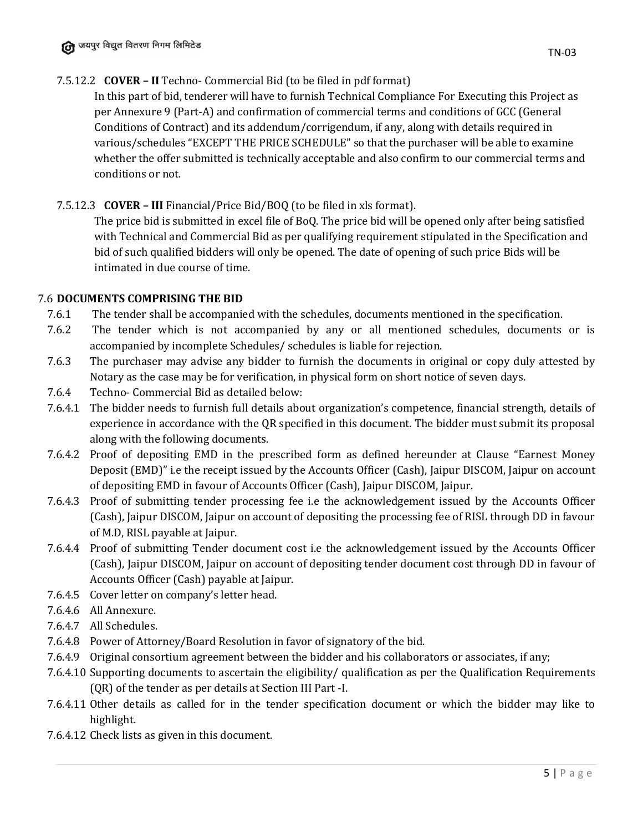# 7.5.12.2 **COVER – II** Techno- Commercial Bid (to be filed in pdf format)

In this part of bid, tenderer will have to furnish Technical Compliance For Executing this Project as per Annexure 9 (Part-A) and confirmation of commercial terms and conditions of GCC (General Conditions of Contract) and its addendum/corrigendum, if any, along with details required in various/schedules "EXCEPT THE PRICE SCHEDULE" so that the purchaser will be able to examine whether the offer submitted is technically acceptable and also confirm to our commercial terms and conditions or not.

# 7.5.12.3 **COVER – III** Financial/Price Bid/BOQ (to be filed in xls format).

The price bid is submitted in excel file of BoQ. The price bid will be opened only after being satisfied with Technical and Commercial Bid as per qualifying requirement stipulated in the Specification and bid of such qualified bidders will only be opened. The date of opening of such price Bids will be intimated in due course of time.

### 7.6 **DOCUMENTS COMPRISING THE BID**

- 7.6.1 The tender shall be accompanied with the schedules, documents mentioned in the specification.
- 7.6.2 The tender which is not accompanied by any or all mentioned schedules, documents or is accompanied by incomplete Schedules/ schedules is liable for rejection.
- 7.6.3 The purchaser may advise any bidder to furnish the documents in original or copy duly attested by Notary as the case may be for verification, in physical form on short notice of seven days.
- 7.6.4 Techno- Commercial Bid as detailed below:
- 7.6.4.1 The bidder needs to furnish full details about organization's competence, financial strength, details of experience in accordance with the QR specified in this document. The bidder must submit its proposal along with the following documents.
- 7.6.4.2 Proof of depositing EMD in the prescribed form as defined hereunder at Clause "Earnest Money Deposit (EMD)" i.e the receipt issued by the Accounts Officer (Cash), Jaipur DISCOM, Jaipur on account of depositing EMD in favour of Accounts Officer (Cash), Jaipur DISCOM, Jaipur.
- 7.6.4.3 Proof of submitting tender processing fee i.e the acknowledgement issued by the Accounts Officer (Cash), Jaipur DISCOM, Jaipur on account of depositing the processing fee of RISL through DD in favour of M.D, RISL payable at Jaipur.
- 7.6.4.4 Proof of submitting Tender document cost i.e the acknowledgement issued by the Accounts Officer (Cash), Jaipur DISCOM, Jaipur on account of depositing tender document cost through DD in favour of Accounts Officer (Cash) payable at Jaipur.
- 7.6.4.5 Cover letter on company's letter head.
- 7.6.4.6 All Annexure.
- 7.6.4.7 All Schedules.
- 7.6.4.8 Power of Attorney/Board Resolution in favor of signatory of the bid.
- 7.6.4.9 Original consortium agreement between the bidder and his collaborators or associates, if any;
- 7.6.4.10 Supporting documents to ascertain the eligibility/ qualification as per the Qualification Requirements (QR) of the tender as per details at Section III Part -I.
- 7.6.4.11 Other details as called for in the tender specification document or which the bidder may like to highlight.
- 7.6.4.12 Check lists as given in this document.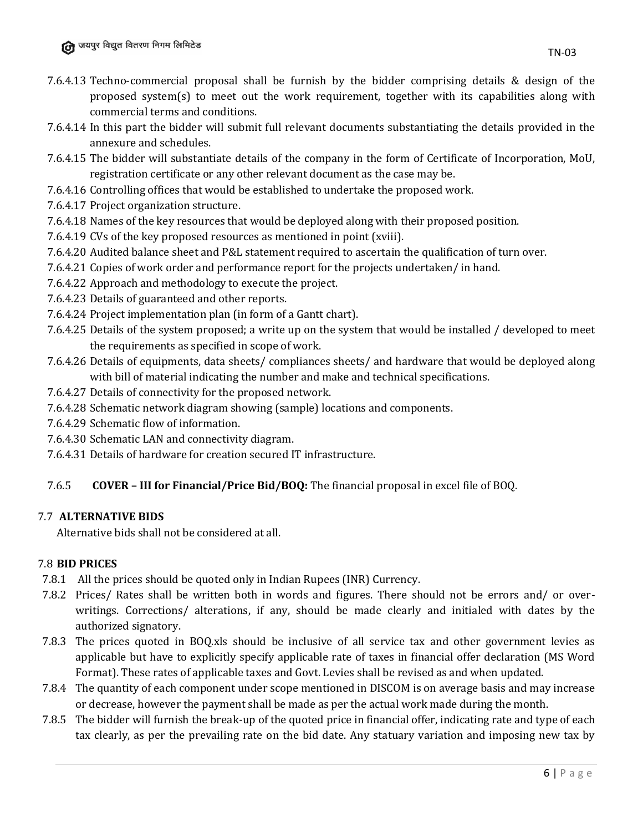- 7.6.4.13 Techno-commercial proposal shall be furnish by the bidder comprising details & design of the proposed system(s) to meet out the work requirement, together with its capabilities along with commercial terms and conditions.
- 7.6.4.14 In this part the bidder will submit full relevant documents substantiating the details provided in the annexure and schedules.
- 7.6.4.15 The bidder will substantiate details of the company in the form of Certificate of Incorporation, MoU, registration certificate or any other relevant document as the case may be.
- 7.6.4.16 Controlling offices that would be established to undertake the proposed work.
- 7.6.4.17 Project organization structure.
- 7.6.4.18 Names of the key resources that would be deployed along with their proposed position.
- 7.6.4.19 CVs of the key proposed resources as mentioned in point (xviii).
- 7.6.4.20 Audited balance sheet and P&L statement required to ascertain the qualification of turn over.
- 7.6.4.21 Copies of work order and performance report for the projects undertaken/ in hand.
- 7.6.4.22 Approach and methodology to execute the project.
- 7.6.4.23 Details of guaranteed and other reports.
- 7.6.4.24 Project implementation plan (in form of a Gantt chart).
- 7.6.4.25 Details of the system proposed; a write up on the system that would be installed / developed to meet the requirements as specified in scope of work.
- 7.6.4.26 Details of equipments, data sheets/ compliances sheets/ and hardware that would be deployed along with bill of material indicating the number and make and technical specifications.
- 7.6.4.27 Details of connectivity for the proposed network.
- 7.6.4.28 Schematic network diagram showing (sample) locations and components.
- 7.6.4.29 Schematic flow of information.
- 7.6.4.30 Schematic LAN and connectivity diagram.
- 7.6.4.31 Details of hardware for creation secured IT infrastructure.

### 7.6.5 **COVER – III for Financial/Price Bid/BOQ:** The financial proposal in excel file of BOQ.

### 7.7 **ALTERNATIVE BIDS**

Alternative bids shall not be considered at all.

### 7.8 **BID PRICES**

- 7.8.1 All the prices should be quoted only in Indian Rupees (INR) Currency.
- 7.8.2 Prices/ Rates shall be written both in words and figures. There should not be errors and/ or overwritings. Corrections/ alterations, if any, should be made clearly and initialed with dates by the authorized signatory.
- 7.8.3 The prices quoted in BOQ.xls should be inclusive of all service tax and other government levies as applicable but have to explicitly specify applicable rate of taxes in financial offer declaration (MS Word Format). These rates of applicable taxes and Govt. Levies shall be revised as and when updated.
- 7.8.4 The quantity of each component under scope mentioned in DISCOM is on average basis and may increase or decrease, however the payment shall be made as per the actual work made during the month.
- 7.8.5 The bidder will furnish the break-up of the quoted price in financial offer, indicating rate and type of each tax clearly, as per the prevailing rate on the bid date. Any statuary variation and imposing new tax by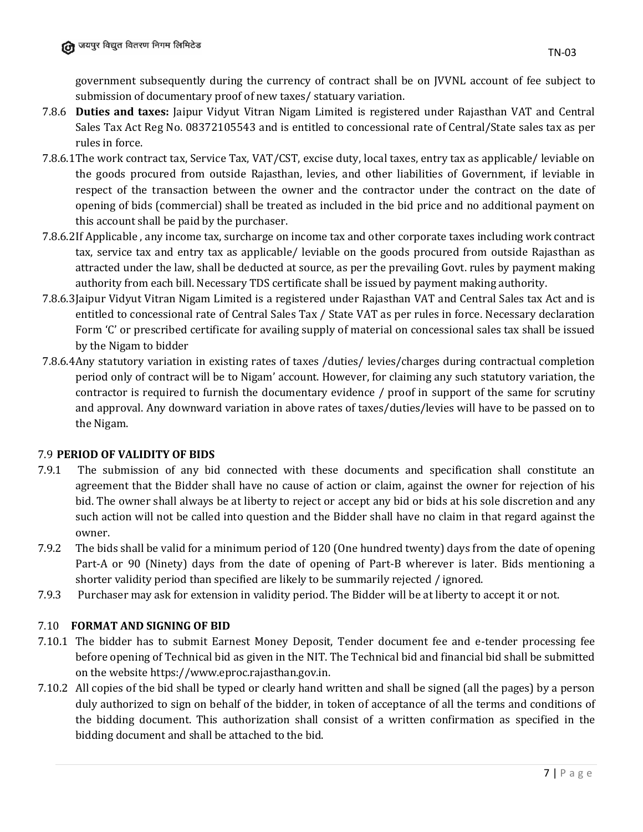government subsequently during the currency of contract shall be on JVVNL account of fee subject to submission of documentary proof of new taxes/ statuary variation.

- 7.8.6 **Duties and taxes:** Jaipur Vidyut Vitran Nigam Limited is registered under Rajasthan VAT and Central Sales Tax Act Reg No. 08372105543 and is entitled to concessional rate of Central/State sales tax as per rules in force.
- 7.8.6.1The work contract tax, Service Tax, VAT/CST, excise duty, local taxes, entry tax as applicable/ leviable on the goods procured from outside Rajasthan, levies, and other liabilities of Government, if leviable in respect of the transaction between the owner and the contractor under the contract on the date of opening of bids (commercial) shall be treated as included in the bid price and no additional payment on this account shall be paid by the purchaser.
- 7.8.6.2If Applicable , any income tax, surcharge on income tax and other corporate taxes including work contract tax, service tax and entry tax as applicable/ leviable on the goods procured from outside Rajasthan as attracted under the law, shall be deducted at source, as per the prevailing Govt. rules by payment making authority from each bill. Necessary TDS certificate shall be issued by payment making authority.
- 7.8.6.3Jaipur Vidyut Vitran Nigam Limited is a registered under Rajasthan VAT and Central Sales tax Act and is entitled to concessional rate of Central Sales Tax / State VAT as per rules in force. Necessary declaration Form 'C' or prescribed certificate for availing supply of material on concessional sales tax shall be issued by the Nigam to bidder
- 7.8.6.4Any statutory variation in existing rates of taxes /duties/ levies/charges during contractual completion period only of contract will be to Nigam' account. However, for claiming any such statutory variation, the contractor is required to furnish the documentary evidence / proof in support of the same for scrutiny and approval. Any downward variation in above rates of taxes/duties/levies will have to be passed on to the Nigam.

# 7.9 **PERIOD OF VALIDITY OF BIDS**

- 7.9.1 The submission of any bid connected with these documents and specification shall constitute an agreement that the Bidder shall have no cause of action or claim, against the owner for rejection of his bid. The owner shall always be at liberty to reject or accept any bid or bids at his sole discretion and any such action will not be called into question and the Bidder shall have no claim in that regard against the owner.
- 7.9.2 The bids shall be valid for a minimum period of 120 (One hundred twenty) days from the date of opening Part-A or 90 (Ninety) days from the date of opening of Part-B wherever is later. Bids mentioning a shorter validity period than specified are likely to be summarily rejected / ignored.
- 7.9.3 Purchaser may ask for extension in validity period. The Bidder will be at liberty to accept it or not.

# 7.10 **FORMAT AND SIGNING OF BID**

- 7.10.1 The bidder has to submit Earnest Money Deposit, Tender document fee and e-tender processing fee before opening of Technical bid as given in the NIT. The Technical bid and financial bid shall be submitted on the website https://www.eproc.rajasthan.gov.in.
- 7.10.2 All copies of the bid shall be typed or clearly hand written and shall be signed (all the pages) by a person duly authorized to sign on behalf of the bidder, in token of acceptance of all the terms and conditions of the bidding document. This authorization shall consist of a written confirmation as specified in the bidding document and shall be attached to the bid.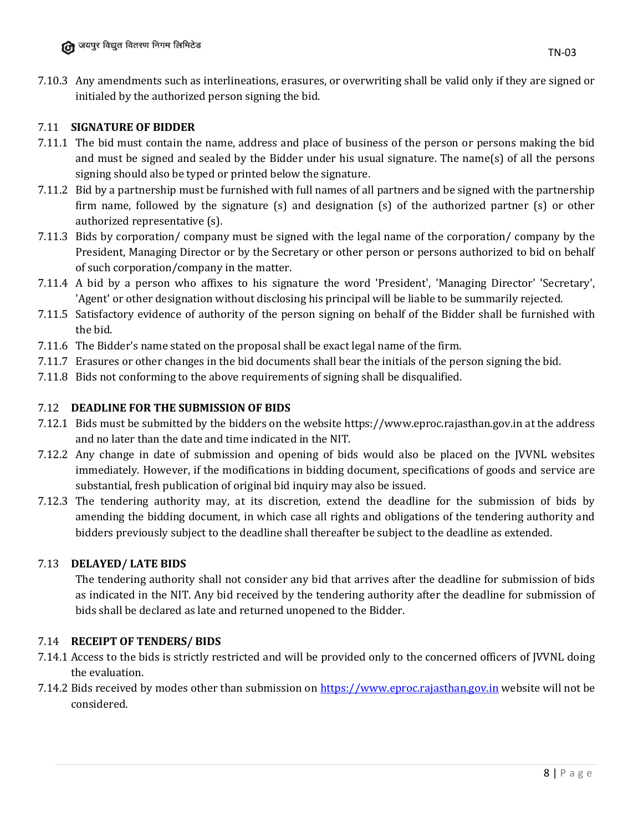7.10.3 Any amendments such as interlineations, erasures, or overwriting shall be valid only if they are signed or initialed by the authorized person signing the bid.

### 7.11 **SIGNATURE OF BIDDER**

- 7.11.1 The bid must contain the name, address and place of business of the person or persons making the bid and must be signed and sealed by the Bidder under his usual signature. The name(s) of all the persons signing should also be typed or printed below the signature.
- 7.11.2 Bid by a partnership must be furnished with full names of all partners and be signed with the partnership firm name, followed by the signature (s) and designation (s) of the authorized partner (s) or other authorized representative (s).
- 7.11.3 Bids by corporation/ company must be signed with the legal name of the corporation/ company by the President, Managing Director or by the Secretary or other person or persons authorized to bid on behalf of such corporation/company in the matter.
- 7.11.4 A bid by a person who affixes to his signature the word 'President', 'Managing Director' 'Secretary', 'Agent' or other designation without disclosing his principal will be liable to be summarily rejected.
- 7.11.5 Satisfactory evidence of authority of the person signing on behalf of the Bidder shall be furnished with the bid.
- 7.11.6 The Bidder's name stated on the proposal shall be exact legal name of the firm.
- 7.11.7 Erasures or other changes in the bid documents shall bear the initials of the person signing the bid.
- 7.11.8 Bids not conforming to the above requirements of signing shall be disqualified.

### 7.12 **DEADLINE FOR THE SUBMISSION OF BIDS**

- 7.12.1 Bids must be submitted by the bidders on the website https://www.eproc.rajasthan.gov.in at the address and no later than the date and time indicated in the NIT.
- 7.12.2 Any change in date of submission and opening of bids would also be placed on the JVVNL websites immediately. However, if the modifications in bidding document, specifications of goods and service are substantial, fresh publication of original bid inquiry may also be issued.
- 7.12.3 The tendering authority may, at its discretion, extend the deadline for the submission of bids by amending the bidding document, in which case all rights and obligations of the tendering authority and bidders previously subject to the deadline shall thereafter be subject to the deadline as extended.

### 7.13 **DELAYED/ LATE BIDS**

The tendering authority shall not consider any bid that arrives after the deadline for submission of bids as indicated in the NIT. Any bid received by the tendering authority after the deadline for submission of bids shall be declared as late and returned unopened to the Bidder.

### 7.14 **RECEIPT OF TENDERS/ BIDS**

- 7.14.1 Access to the bids is strictly restricted and will be provided only to the concerned officers of JVVNL doing the evaluation.
- 7.14.2 Bids received by modes other than submission on [https://www.eproc.rajasthan.gov.in](https://www.eproc.rajasthan.gov.in/) website will not be considered.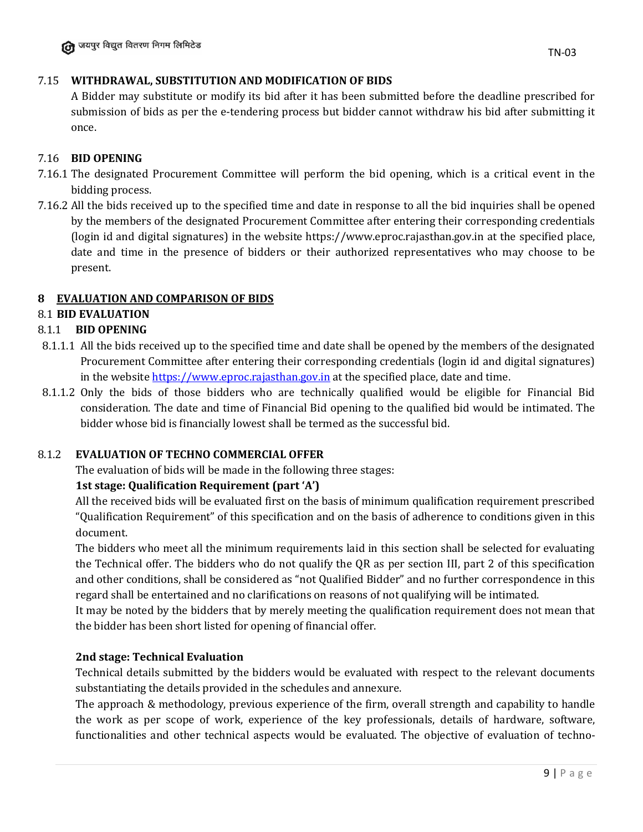### 7.15 **WITHDRAWAL, SUBSTITUTION AND MODIFICATION OF BIDS**

A Bidder may substitute or modify its bid after it has been submitted before the deadline prescribed for submission of bids as per the e-tendering process but bidder cannot withdraw his bid after submitting it once.

### 7.16 **BID OPENING**

- 7.16.1 The designated Procurement Committee will perform the bid opening, which is a critical event in the bidding process.
- 7.16.2 All the bids received up to the specified time and date in response to all the bid inquiries shall be opened by the members of the designated Procurement Committee after entering their corresponding credentials (login id and digital signatures) in the website https://www.eproc.rajasthan.gov.in at the specified place, date and time in the presence of bidders or their authorized representatives who may choose to be present.

# **8 EVALUATION AND COMPARISON OF BIDS**

# 8.1 **BID EVALUATION**

### 8.1.1 **BID OPENING**

- 8.1.1.1 All the bids received up to the specified time and date shall be opened by the members of the designated Procurement Committee after entering their corresponding credentials (login id and digital signatures) in the website [https://www.eproc.rajasthan.gov.in](https://www.eproc.rajasthan.gov.in/) at the specified place, date and time.
- 8.1.1.2 Only the bids of those bidders who are technically qualified would be eligible for Financial Bid consideration. The date and time of Financial Bid opening to the qualified bid would be intimated. The bidder whose bid is financially lowest shall be termed as the successful bid.

### 8.1.2 **EVALUATION OF TECHNO COMMERCIAL OFFER**

The evaluation of bids will be made in the following three stages:

### **1st stage: Qualification Requirement (part 'A')**

All the received bids will be evaluated first on the basis of minimum qualification requirement prescribed "Qualification Requirement" of this specification and on the basis of adherence to conditions given in this document.

The bidders who meet all the minimum requirements laid in this section shall be selected for evaluating the Technical offer. The bidders who do not qualify the QR as per section III, part 2 of this specification and other conditions, shall be considered as "not Qualified Bidder" and no further correspondence in this regard shall be entertained and no clarifications on reasons of not qualifying will be intimated.

It may be noted by the bidders that by merely meeting the qualification requirement does not mean that the bidder has been short listed for opening of financial offer.

### **2nd stage: Technical Evaluation**

Technical details submitted by the bidders would be evaluated with respect to the relevant documents substantiating the details provided in the schedules and annexure.

The approach & methodology, previous experience of the firm, overall strength and capability to handle the work as per scope of work, experience of the key professionals, details of hardware, software, functionalities and other technical aspects would be evaluated. The objective of evaluation of techno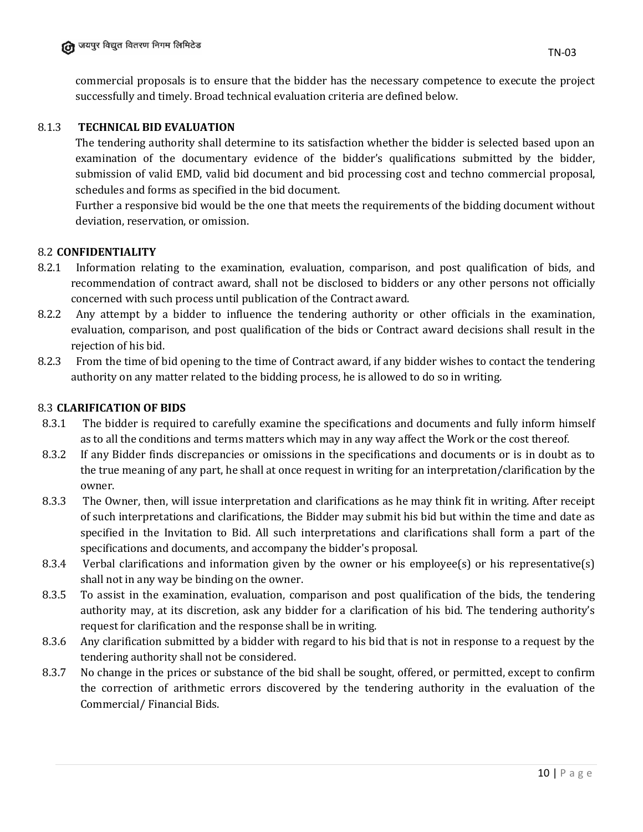commercial proposals is to ensure that the bidder has the necessary competence to execute the project successfully and timely. Broad technical evaluation criteria are defined below.

### 8.1.3 **TECHNICAL BID EVALUATION**

The tendering authority shall determine to its satisfaction whether the bidder is selected based upon an examination of the documentary evidence of the bidder's qualifications submitted by the bidder, submission of valid EMD, valid bid document and bid processing cost and techno commercial proposal, schedules and forms as specified in the bid document.

Further a responsive bid would be the one that meets the requirements of the bidding document without deviation, reservation, or omission.

### 8.2 **CONFIDENTIALITY**

- 8.2.1 Information relating to the examination, evaluation, comparison, and post qualification of bids, and recommendation of contract award, shall not be disclosed to bidders or any other persons not officially concerned with such process until publication of the Contract award.
- 8.2.2 Any attempt by a bidder to influence the tendering authority or other officials in the examination, evaluation, comparison, and post qualification of the bids or Contract award decisions shall result in the rejection of his bid.
- 8.2.3 From the time of bid opening to the time of Contract award, if any bidder wishes to contact the tendering authority on any matter related to the bidding process, he is allowed to do so in writing.

### 8.3 **CLARIFICATION OF BIDS**

- 8.3.1 The bidder is required to carefully examine the specifications and documents and fully inform himself as to all the conditions and terms matters which may in any way affect the Work or the cost thereof.
- 8.3.2 If any Bidder finds discrepancies or omissions in the specifications and documents or is in doubt as to the true meaning of any part, he shall at once request in writing for an interpretation/clarification by the owner.
- 8.3.3 The Owner, then, will issue interpretation and clarifications as he may think fit in writing. After receipt of such interpretations and clarifications, the Bidder may submit his bid but within the time and date as specified in the Invitation to Bid. All such interpretations and clarifications shall form a part of the specifications and documents, and accompany the bidder's proposal.
- 8.3.4 Verbal clarifications and information given by the owner or his employee(s) or his representative(s) shall not in any way be binding on the owner.
- 8.3.5 To assist in the examination, evaluation, comparison and post qualification of the bids, the tendering authority may, at its discretion, ask any bidder for a clarification of his bid. The tendering authority's request for clarification and the response shall be in writing.
- 8.3.6 Any clarification submitted by a bidder with regard to his bid that is not in response to a request by the tendering authority shall not be considered.
- 8.3.7 No change in the prices or substance of the bid shall be sought, offered, or permitted, except to confirm the correction of arithmetic errors discovered by the tendering authority in the evaluation of the Commercial/ Financial Bids.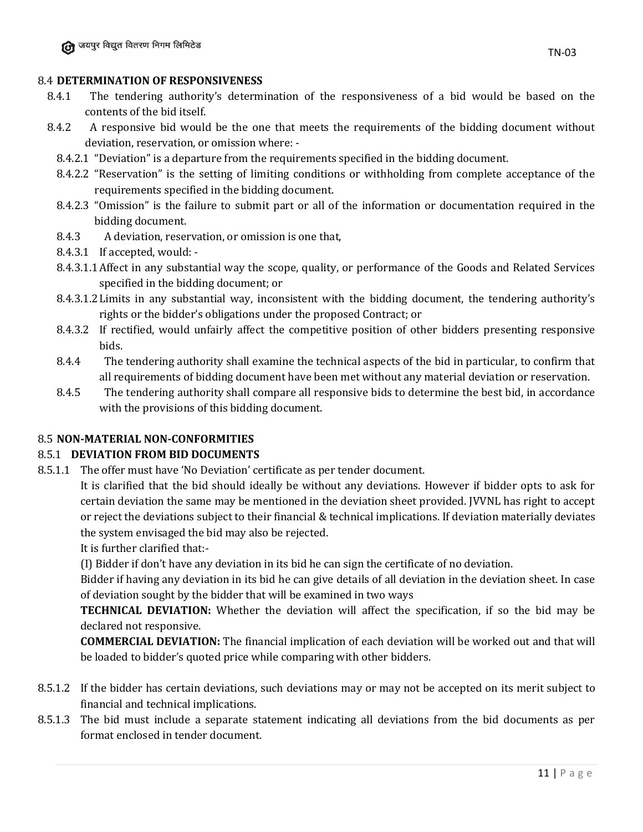#### 8.4 **DETERMINATION OF RESPONSIVENESS**

- 8.4.1 The tendering authority's determination of the responsiveness of a bid would be based on the contents of the bid itself.
- 8.4.2 A responsive bid would be the one that meets the requirements of the bidding document without deviation, reservation, or omission where: -
	- 8.4.2.1 "Deviation" is a departure from the requirements specified in the bidding document.
	- 8.4.2.2 "Reservation" is the setting of limiting conditions or withholding from complete acceptance of the requirements specified in the bidding document.
	- 8.4.2.3 "Omission" is the failure to submit part or all of the information or documentation required in the bidding document.
	- 8.4.3 A deviation, reservation, or omission is one that,
	- 8.4.3.1 If accepted, would: -
	- 8.4.3.1.1Affect in any substantial way the scope, quality, or performance of the Goods and Related Services specified in the bidding document; or
	- 8.4.3.1.2Limits in any substantial way, inconsistent with the bidding document, the tendering authority's rights or the bidder's obligations under the proposed Contract; or
	- 8.4.3.2 If rectified, would unfairly affect the competitive position of other bidders presenting responsive bids.
	- 8.4.4 The tendering authority shall examine the technical aspects of the bid in particular, to confirm that all requirements of bidding document have been met without any material deviation or reservation.
	- 8.4.5 The tendering authority shall compare all responsive bids to determine the best bid, in accordance with the provisions of this bidding document.

#### 8.5 **NON-MATERIAL NON-CONFORMITIES**

#### 8.5.1 **DEVIATION FROM BID DOCUMENTS**

8.5.1.1 The offer must have 'No Deviation' certificate as per tender document.

It is clarified that the bid should ideally be without any deviations. However if bidder opts to ask for certain deviation the same may be mentioned in the deviation sheet provided. JVVNL has right to accept or reject the deviations subject to their financial & technical implications. If deviation materially deviates the system envisaged the bid may also be rejected.

It is further clarified that:-

(I) Bidder if don't have any deviation in its bid he can sign the certificate of no deviation.

Bidder if having any deviation in its bid he can give details of all deviation in the deviation sheet. In case of deviation sought by the bidder that will be examined in two ways

**TECHNICAL DEVIATION:** Whether the deviation will affect the specification, if so the bid may be declared not responsive.

**COMMERCIAL DEVIATION:** The financial implication of each deviation will be worked out and that will be loaded to bidder's quoted price while comparing with other bidders.

- 8.5.1.2 If the bidder has certain deviations, such deviations may or may not be accepted on its merit subject to financial and technical implications.
- 8.5.1.3 The bid must include a separate statement indicating all deviations from the bid documents as per format enclosed in tender document.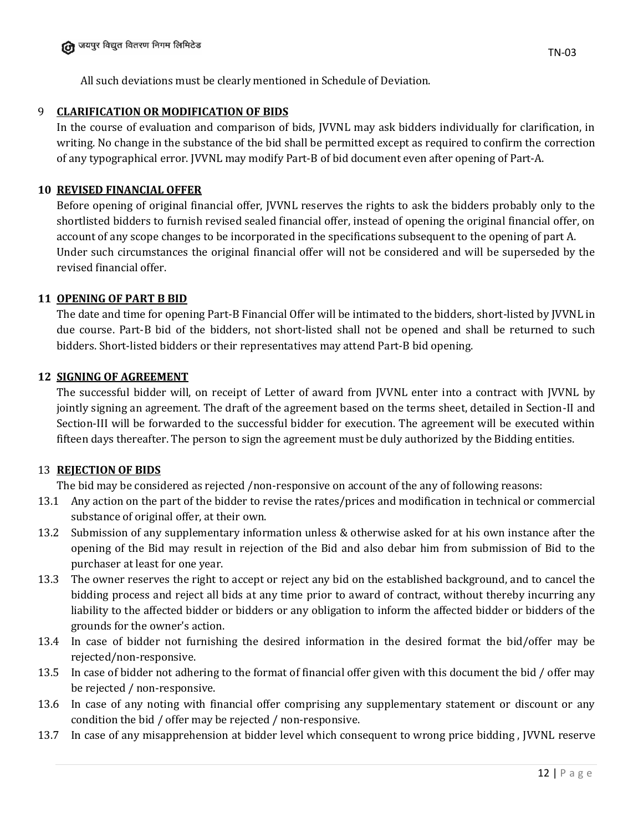All such deviations must be clearly mentioned in Schedule of Deviation.

### 9 **CLARIFICATION OR MODIFICATION OF BIDS**

In the course of evaluation and comparison of bids, JVVNL may ask bidders individually for clarification, in writing. No change in the substance of the bid shall be permitted except as required to confirm the correction of any typographical error. JVVNL may modify Part-B of bid document even after opening of Part-A.

### **10 REVISED FINANCIAL OFFER**

Before opening of original financial offer, JVVNL reserves the rights to ask the bidders probably only to the shortlisted bidders to furnish revised sealed financial offer, instead of opening the original financial offer, on account of any scope changes to be incorporated in the specifications subsequent to the opening of part A. Under such circumstances the original financial offer will not be considered and will be superseded by the revised financial offer.

### **11 OPENING OF PART B BID**

The date and time for opening Part-B Financial Offer will be intimated to the bidders, short-listed by JVVNL in due course. Part-B bid of the bidders, not short-listed shall not be opened and shall be returned to such bidders. Short-listed bidders or their representatives may attend Part-B bid opening.

### **12 SIGNING OF AGREEMENT**

The successful bidder will, on receipt of Letter of award from JVVNL enter into a contract with JVVNL by jointly signing an agreement. The draft of the agreement based on the terms sheet, detailed in Section-II and Section-III will be forwarded to the successful bidder for execution. The agreement will be executed within fifteen days thereafter. The person to sign the agreement must be duly authorized by the Bidding entities.

### 13 **REJECTION OF BIDS**

The bid may be considered as rejected /non-responsive on account of the any of following reasons:

- 13.1 Any action on the part of the bidder to revise the rates/prices and modification in technical or commercial substance of original offer, at their own.
- 13.2 Submission of any supplementary information unless & otherwise asked for at his own instance after the opening of the Bid may result in rejection of the Bid and also debar him from submission of Bid to the purchaser at least for one year.
- 13.3 The owner reserves the right to accept or reject any bid on the established background, and to cancel the bidding process and reject all bids at any time prior to award of contract, without thereby incurring any liability to the affected bidder or bidders or any obligation to inform the affected bidder or bidders of the grounds for the owner's action.
- 13.4 In case of bidder not furnishing the desired information in the desired format the bid/offer may be rejected/non-responsive.
- 13.5 In case of bidder not adhering to the format of financial offer given with this document the bid / offer may be rejected / non-responsive.
- 13.6 In case of any noting with financial offer comprising any supplementary statement or discount or any condition the bid / offer may be rejected / non-responsive.
- 13.7 In case of any misapprehension at bidder level which consequent to wrong price bidding , JVVNL reserve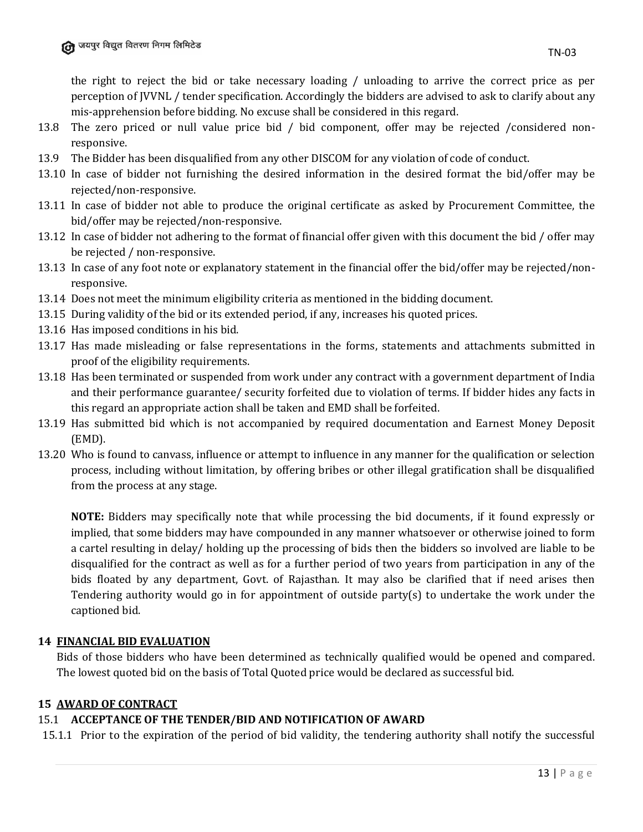the right to reject the bid or take necessary loading / unloading to arrive the correct price as per perception of JVVNL / tender specification. Accordingly the bidders are advised to ask to clarify about any mis-apprehension before bidding. No excuse shall be considered in this regard.

- 13.8 The zero priced or null value price bid / bid component, offer may be rejected /considered nonresponsive.
- 13.9 The Bidder has been disqualified from any other DISCOM for any violation of code of conduct.
- 13.10 In case of bidder not furnishing the desired information in the desired format the bid/offer may be rejected/non-responsive.
- 13.11 In case of bidder not able to produce the original certificate as asked by Procurement Committee, the bid/offer may be rejected/non-responsive.
- 13.12 In case of bidder not adhering to the format of financial offer given with this document the bid / offer may be rejected / non-responsive.
- 13.13 In case of any foot note or explanatory statement in the financial offer the bid/offer may be rejected/nonresponsive.
- 13.14 Does not meet the minimum eligibility criteria as mentioned in the bidding document.
- 13.15 During validity of the bid or its extended period, if any, increases his quoted prices.
- 13.16 Has imposed conditions in his bid.
- 13.17 Has made misleading or false representations in the forms, statements and attachments submitted in proof of the eligibility requirements.
- 13.18 Has been terminated or suspended from work under any contract with a government department of India and their performance guarantee/ security forfeited due to violation of terms. If bidder hides any facts in this regard an appropriate action shall be taken and EMD shall be forfeited.
- 13.19 Has submitted bid which is not accompanied by required documentation and Earnest Money Deposit (EMD).
- 13.20 Who is found to canvass, influence or attempt to influence in any manner for the qualification or selection process, including without limitation, by offering bribes or other illegal gratification shall be disqualified from the process at any stage.

**NOTE:** Bidders may specifically note that while processing the bid documents, if it found expressly or implied, that some bidders may have compounded in any manner whatsoever or otherwise joined to form a cartel resulting in delay/ holding up the processing of bids then the bidders so involved are liable to be disqualified for the contract as well as for a further period of two years from participation in any of the bids floated by any department, Govt. of Rajasthan. It may also be clarified that if need arises then Tendering authority would go in for appointment of outside party(s) to undertake the work under the captioned bid.

### **14 FINANCIAL BID EVALUATION**

Bids of those bidders who have been determined as technically qualified would be opened and compared. The lowest quoted bid on the basis of Total Quoted price would be declared as successful bid.

### **15 AWARD OF CONTRACT**

### 15.1 **ACCEPTANCE OF THE TENDER/BID AND NOTIFICATION OF AWARD**

15.1.1 Prior to the expiration of the period of bid validity, the tendering authority shall notify the successful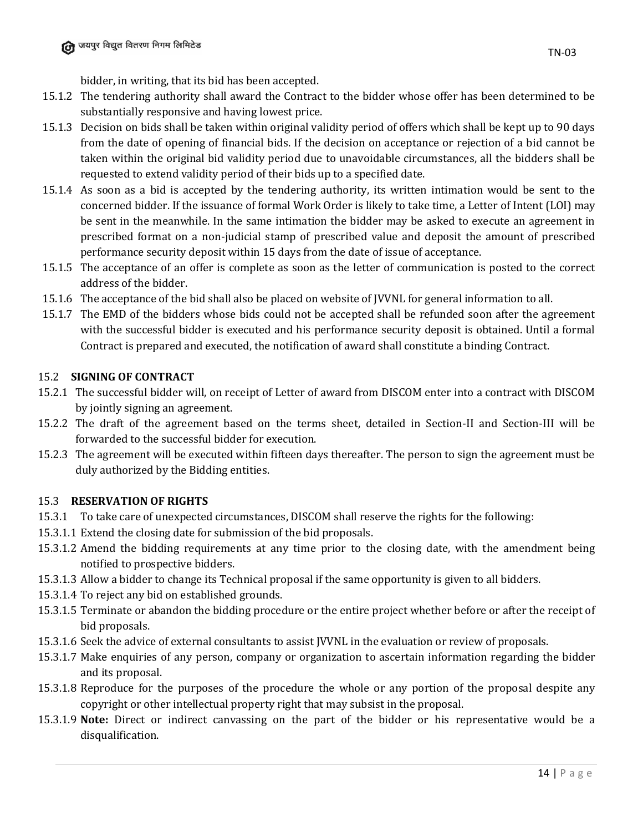- 15.1.2 The tendering authority shall award the Contract to the bidder whose offer has been determined to be substantially responsive and having lowest price.
- 15.1.3 Decision on bids shall be taken within original validity period of offers which shall be kept up to 90 days from the date of opening of financial bids. If the decision on acceptance or rejection of a bid cannot be taken within the original bid validity period due to unavoidable circumstances, all the bidders shall be requested to extend validity period of their bids up to a specified date.
- 15.1.4 As soon as a bid is accepted by the tendering authority, its written intimation would be sent to the concerned bidder. If the issuance of formal Work Order is likely to take time, a Letter of Intent (LOI) may be sent in the meanwhile. In the same intimation the bidder may be asked to execute an agreement in prescribed format on a non-judicial stamp of prescribed value and deposit the amount of prescribed performance security deposit within 15 days from the date of issue of acceptance.
- 15.1.5 The acceptance of an offer is complete as soon as the letter of communication is posted to the correct address of the bidder.
- 15.1.6 The acceptance of the bid shall also be placed on website of JVVNL for general information to all.
- 15.1.7 The EMD of the bidders whose bids could not be accepted shall be refunded soon after the agreement with the successful bidder is executed and his performance security deposit is obtained. Until a formal Contract is prepared and executed, the notification of award shall constitute a binding Contract.

### 15.2 **SIGNING OF CONTRACT**

- 15.2.1 The successful bidder will, on receipt of Letter of award from DISCOM enter into a contract with DISCOM by jointly signing an agreement.
- 15.2.2 The draft of the agreement based on the terms sheet, detailed in Section-II and Section-III will be forwarded to the successful bidder for execution.
- 15.2.3 The agreement will be executed within fifteen days thereafter. The person to sign the agreement must be duly authorized by the Bidding entities.

# 15.3 **RESERVATION OF RIGHTS**

- 15.3.1 To take care of unexpected circumstances, DISCOM shall reserve the rights for the following:
- 15.3.1.1 Extend the closing date for submission of the bid proposals.
- 15.3.1.2 Amend the bidding requirements at any time prior to the closing date, with the amendment being notified to prospective bidders.
- 15.3.1.3 Allow a bidder to change its Technical proposal if the same opportunity is given to all bidders.
- 15.3.1.4 To reject any bid on established grounds.
- 15.3.1.5 Terminate or abandon the bidding procedure or the entire project whether before or after the receipt of bid proposals.
- 15.3.1.6 Seek the advice of external consultants to assist JVVNL in the evaluation or review of proposals.
- 15.3.1.7 Make enquiries of any person, company or organization to ascertain information regarding the bidder and its proposal.
- 15.3.1.8 Reproduce for the purposes of the procedure the whole or any portion of the proposal despite any copyright or other intellectual property right that may subsist in the proposal.
- 15.3.1.9 **Note:** Direct or indirect canvassing on the part of the bidder or his representative would be a disqualification.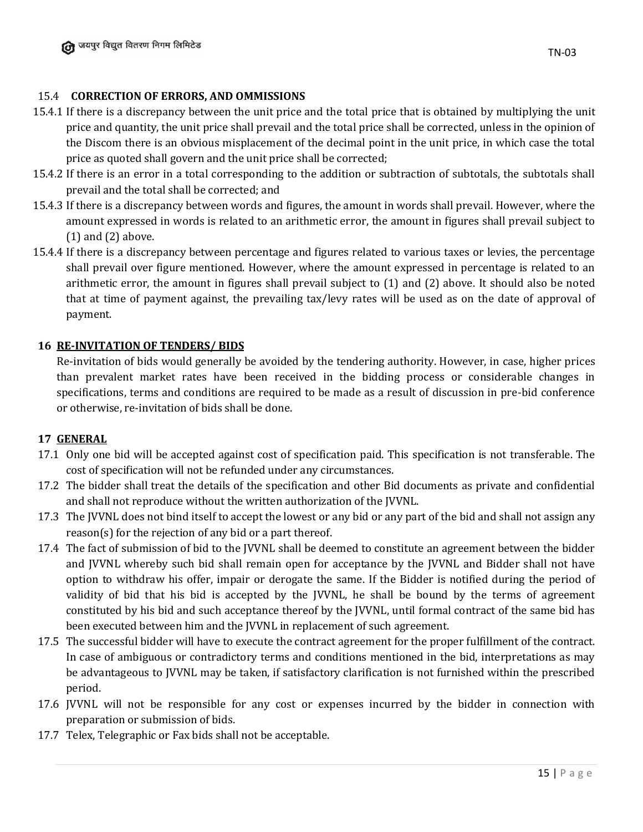### 15.4 **CORRECTION OF ERRORS, AND OMMISSIONS**

- 15.4.1 If there is a discrepancy between the unit price and the total price that is obtained by multiplying the unit price and quantity, the unit price shall prevail and the total price shall be corrected, unless in the opinion of the Discom there is an obvious misplacement of the decimal point in the unit price, in which case the total price as quoted shall govern and the unit price shall be corrected;
- 15.4.2 If there is an error in a total corresponding to the addition or subtraction of subtotals, the subtotals shall prevail and the total shall be corrected; and
- 15.4.3 If there is a discrepancy between words and figures, the amount in words shall prevail. However, where the amount expressed in words is related to an arithmetic error, the amount in figures shall prevail subject to (1) and (2) above.
- 15.4.4 If there is a discrepancy between percentage and figures related to various taxes or levies, the percentage shall prevail over figure mentioned. However, where the amount expressed in percentage is related to an arithmetic error, the amount in figures shall prevail subject to (1) and (2) above. It should also be noted that at time of payment against, the prevailing tax/levy rates will be used as on the date of approval of payment.

### **16 RE-INVITATION OF TENDERS/ BIDS**

Re-invitation of bids would generally be avoided by the tendering authority. However, in case, higher prices than prevalent market rates have been received in the bidding process or considerable changes in specifications, terms and conditions are required to be made as a result of discussion in pre-bid conference or otherwise, re-invitation of bids shall be done.

### **17 GENERAL**

- 17.1 Only one bid will be accepted against cost of specification paid. This specification is not transferable. The cost of specification will not be refunded under any circumstances.
- 17.2 The bidder shall treat the details of the specification and other Bid documents as private and confidential and shall not reproduce without the written authorization of the JVVNL.
- 17.3 The JVVNL does not bind itself to accept the lowest or any bid or any part of the bid and shall not assign any reason(s) for the rejection of any bid or a part thereof.
- 17.4 The fact of submission of bid to the JVVNL shall be deemed to constitute an agreement between the bidder and JVVNL whereby such bid shall remain open for acceptance by the JVVNL and Bidder shall not have option to withdraw his offer, impair or derogate the same. If the Bidder is notified during the period of validity of bid that his bid is accepted by the JVVNL, he shall be bound by the terms of agreement constituted by his bid and such acceptance thereof by the JVVNL, until formal contract of the same bid has been executed between him and the JVVNL in replacement of such agreement.
- 17.5 The successful bidder will have to execute the contract agreement for the proper fulfillment of the contract. In case of ambiguous or contradictory terms and conditions mentioned in the bid, interpretations as may be advantageous to JVVNL may be taken, if satisfactory clarification is not furnished within the prescribed period.
- 17.6 JVVNL will not be responsible for any cost or expenses incurred by the bidder in connection with preparation or submission of bids.
- 17.7 Telex, Telegraphic or Fax bids shall not be acceptable.